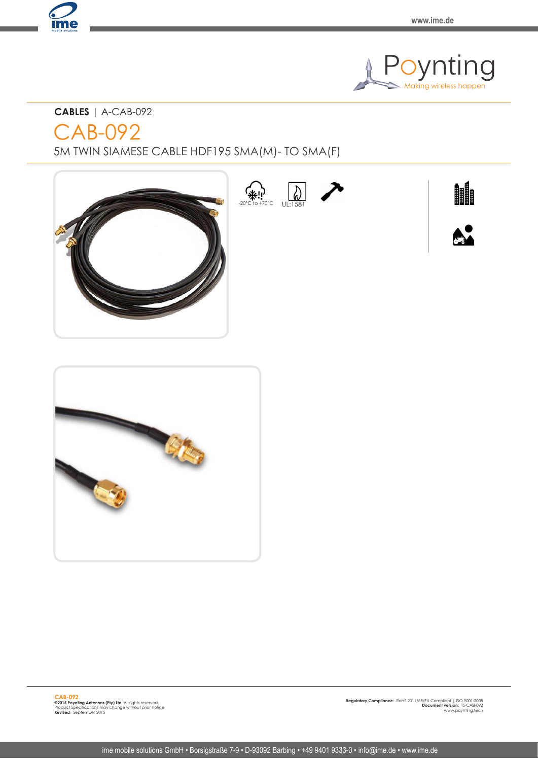



CAB-092 **CABLES** | A-CAB-092 5M TWIN SIAMESE CABLE HDF195 SMA(M)- TO SMA(F)